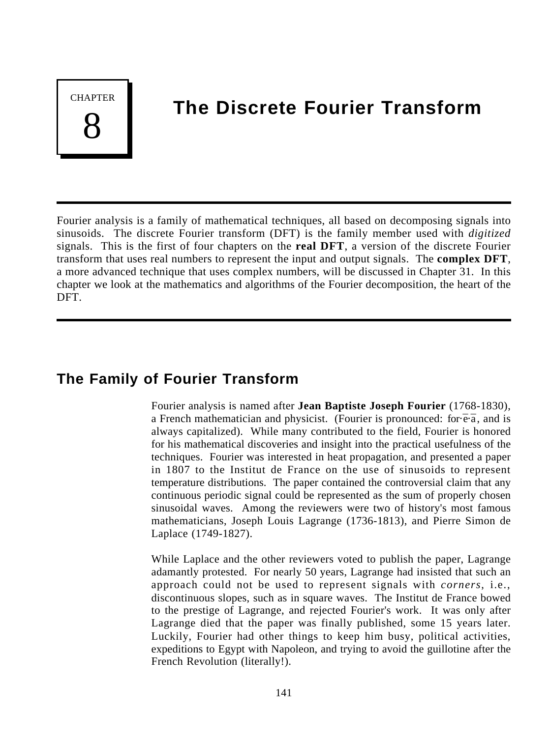**CHAPTER** 8

# **The Discrete Fourier Transform**

Fourier analysis is a family of mathematical techniques, all based on decomposing signals into sinusoids. The discrete Fourier transform (DFT) is the family member used with *digitized* signals. This is the first of four chapters on the **real DFT**, a version of the discrete Fourier transform that uses real numbers to represent the input and output signals. The **complex DFT**, a more advanced technique that uses complex numbers, will be discussed in Chapter 31. In this chapter we look at the mathematics and algorithms of the Fourier decomposition, the heart of the DFT.

# **The Family of Fourier Transform**

Fourier analysis is named after **Jean Baptiste Joseph Fourier** (1768-1830), a French mathematician and physicist. (Fourier is pronounced: for  $\bar{e}\bar{a}$ , and is always capitalized). While many contributed to the field, Fourier is honored for his mathematical discoveries and insight into the practical usefulness of the techniques. Fourier was interested in heat propagation, and presented a paper in 1807 to the Institut de France on the use of sinusoids to represent temperature distributions. The paper contained the controversial claim that any continuous periodic signal could be represented as the sum of properly chosen sinusoidal waves. Among the reviewers were two of history's most famous mathematicians, Joseph Louis Lagrange (1736-1813), and Pierre Simon de Laplace (1749-1827).

While Laplace and the other reviewers voted to publish the paper, Lagrange adamantly protested. For nearly 50 years, Lagrange had insisted that such an approach could not be used to represent signals with *corners*, i.e., discontinuous slopes, such as in square waves. The Institut de France bowed to the prestige of Lagrange, and rejected Fourier's work. It was only after Lagrange died that the paper was finally published, some 15 years later. Luckily, Fourier had other things to keep him busy, political activities, expeditions to Egypt with Napoleon, and trying to avoid the guillotine after the French Revolution (literally!).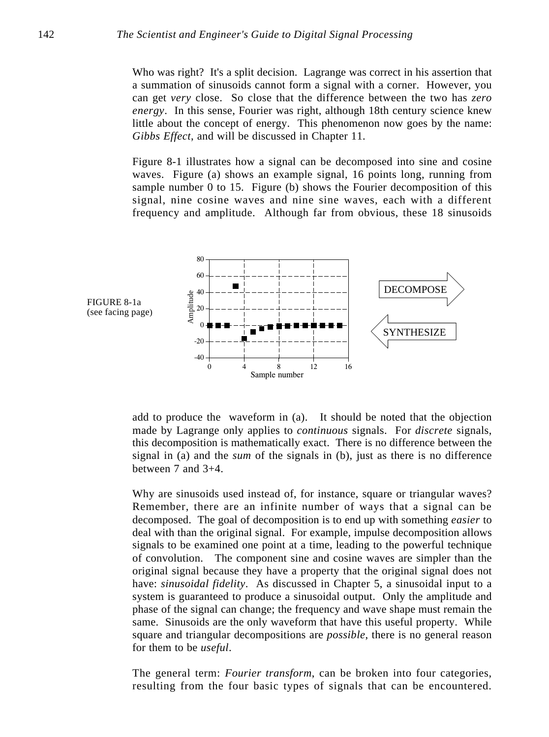Who was right? It's a split decision. Lagrange was correct in his assertion that a summation of sinusoids cannot form a signal with a corner. However, you can get *very* close. So close that the difference between the two has *zero energy*. In this sense, Fourier was right, although 18th century science knew little about the concept of energy. This phenomenon now goes by the name: *Gibbs Effect*, and will be discussed in Chapter 11.

Figure 8-1 illustrates how a signal can be decomposed into sine and cosine waves. Figure (a) shows an example signal, 16 points long, running from sample number 0 to 15. Figure (b) shows the Fourier decomposition of this signal, nine cosine waves and nine sine waves, each with a different frequency and amplitude. Although far from obvious, these 18 sinusoids



add to produce the waveform in (a). It should be noted that the objection made by Lagrange only applies to *continuous* signals. For *discrete* signals, this decomposition is mathematically exact. There is no difference between the signal in (a) and the *sum* of the signals in (b), just as there is no difference between 7 and 3+4.

Why are sinusoids used instead of, for instance, square or triangular waves? Remember, there are an infinite number of ways that a signal can be decomposed. The goal of decomposition is to end up with something *easier* to deal with than the original signal. For example, impulse decomposition allows signals to be examined one point at a time, leading to the powerful technique of convolution. The component sine and cosine waves are simpler than the original signal because they have a property that the original signal does not have: *sinusoidal fidelity*. As discussed in Chapter 5, a sinusoidal input to a system is guaranteed to produce a sinusoidal output. Only the amplitude and phase of the signal can change; the frequency and wave shape must remain the same. Sinusoids are the only waveform that have this useful property. While square and triangular decompositions are *possible*, there is no general reason for them to be *useful*.

The general term: *Fourier transform*, can be broken into four categories, resulting from the four basic types of signals that can be encountered.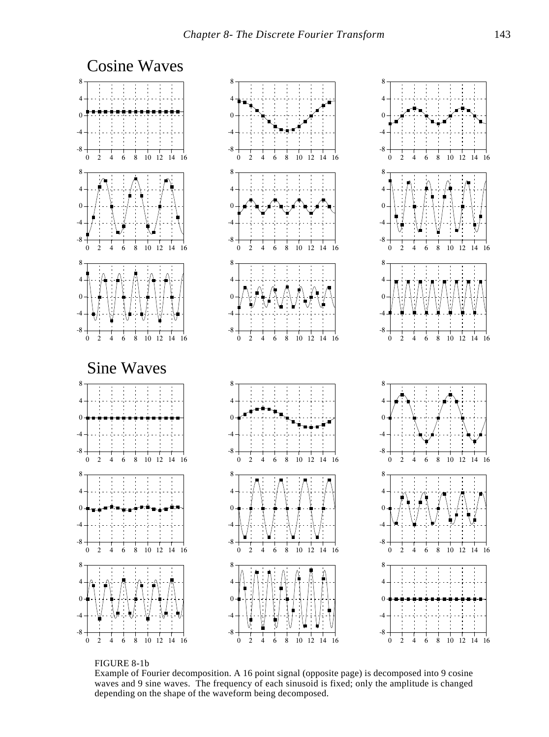

### FIGURE 8-1b

Example of Fourier decomposition. A 16 point signal (opposite page) is decomposed into 9 cosine waves and 9 sine waves. The frequency of each sinusoid is fixed; only the amplitude is changed depending on the shape of the waveform being decomposed.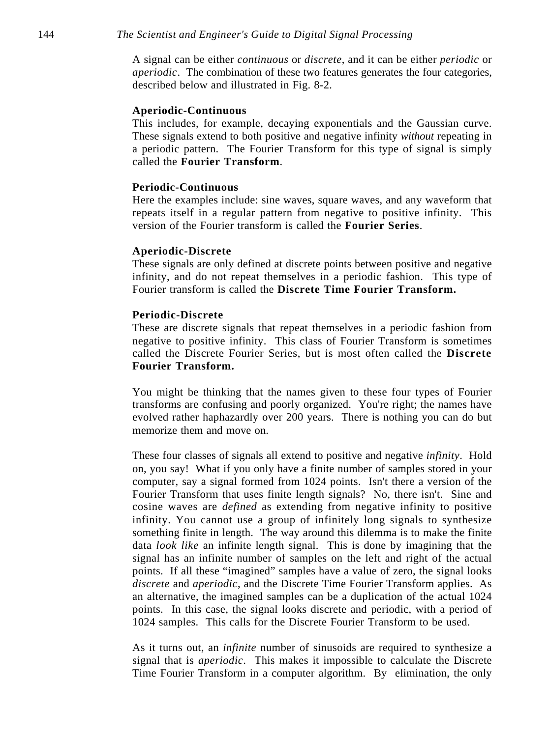A signal can be either *continuous* or *discrete*, and it can be either *periodic* or *aperiodic*. The combination of these two features generates the four categories, described below and illustrated in Fig. 8-2.

### **Aperiodic-Continuous**

This includes, for example, decaying exponentials and the Gaussian curve. These signals extend to both positive and negative infinity *without* repeating in a periodic pattern. The Fourier Transform for this type of signal is simply called the **Fourier Transform**.

### **Periodic-Continuous**

Here the examples include: sine waves, square waves, and any waveform that repeats itself in a regular pattern from negative to positive infinity. This version of the Fourier transform is called the **Fourier Series**.

# **Aperiodic-Discrete**

These signals are only defined at discrete points between positive and negative infinity, and do not repeat themselves in a periodic fashion. This type of Fourier transform is called the **Discrete Time Fourier Transform.** 

### **Periodic-Discrete**

These are discrete signals that repeat themselves in a periodic fashion from negative to positive infinity. This class of Fourier Transform is sometimes called the Discrete Fourier Series, but is most often called the **Discrete Fourier Transform.** 

You might be thinking that the names given to these four types of Fourier transforms are confusing and poorly organized. You're right; the names have evolved rather haphazardly over 200 years. There is nothing you can do but memorize them and move on.

These four classes of signals all extend to positive and negative *infinity*. Hold on, you say! What if you only have a finite number of samples stored in your computer, say a signal formed from 1024 points. Isn't there a version of the Fourier Transform that uses finite length signals? No, there isn't. Sine and cosine waves are *defined* as extending from negative infinity to positive infinity. You cannot use a group of infinitely long signals to synthesize something finite in length. The way around this dilemma is to make the finite data *look like* an infinite length signal. This is done by imagining that the signal has an infinite number of samples on the left and right of the actual points. If all these "imagined" samples have a value of zero, the signal looks *discrete* and *aperiodic*, and the Discrete Time Fourier Transform applies. As an alternative, the imagined samples can be a duplication of the actual 1024 points. In this case, the signal looks discrete and periodic, with a period of 1024 samples. This calls for the Discrete Fourier Transform to be used.

As it turns out, an *infinite* number of sinusoids are required to synthesize a signal that is *aperiodic*. This makes it impossible to calculate the Discrete Time Fourier Transform in a computer algorithm. By elimination, the only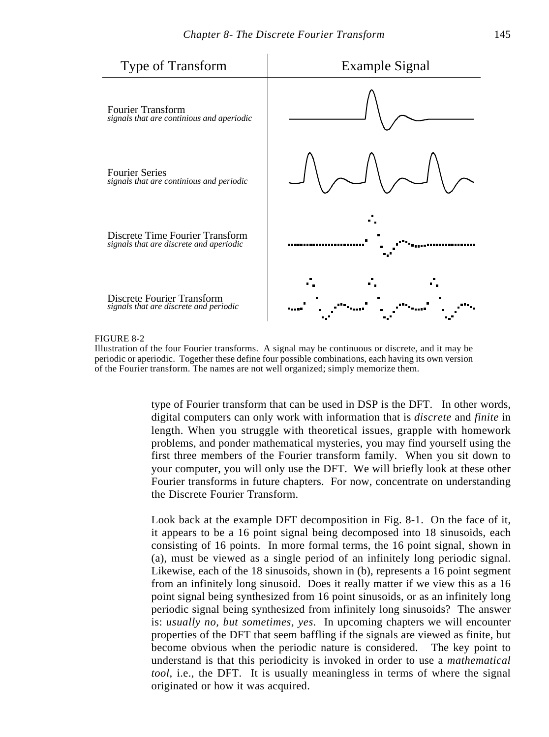

Illustration of the four Fourier transforms. A signal may be continuous or discrete, and it may be periodic or aperiodic. Together these define four possible combinations, each having its own version of the Fourier transform. The names are not well organized; simply memorize them.

type of Fourier transform that can be used in DSP is the DFT. In other words, digital computers can only work with information that is *discrete* and *finite* in length. When you struggle with theoretical issues, grapple with homework problems, and ponder mathematical mysteries, you may find yourself using the first three members of the Fourier transform family. When you sit down to your computer, you will only use the DFT. We will briefly look at these other Fourier transforms in future chapters. For now, concentrate on understanding the Discrete Fourier Transform.

Look back at the example DFT decomposition in Fig. 8-1. On the face of it, it appears to be a 16 point signal being decomposed into 18 sinusoids, each consisting of 16 points. In more formal terms, the 16 point signal, shown in (a), must be viewed as a single period of an infinitely long periodic signal. Likewise, each of the 18 sinusoids, shown in (b), represents a 16 point segment from an infinitely long sinusoid. Does it really matter if we view this as a 16 point signal being synthesized from 16 point sinusoids, or as an infinitely long periodic signal being synthesized from infinitely long sinusoids? The answer is: *usually no, but sometimes, yes.* In upcoming chapters we will encounter properties of the DFT that seem baffling if the signals are viewed as finite, but become obvious when the periodic nature is considered. The key point to understand is that this periodicity is invoked in order to use a *mathematical tool*, i.e., the DFT. It is usually meaningless in terms of where the signal originated or how it was acquired.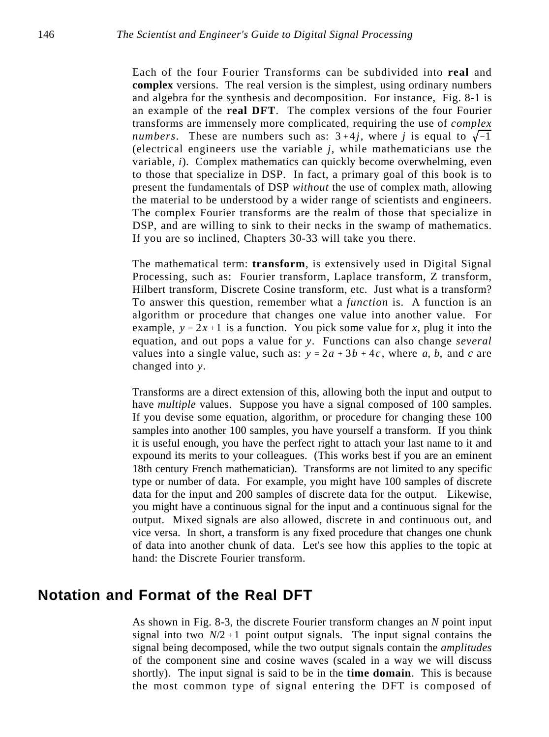Each of the four Fourier Transforms can be subdivided into **real** and **complex** versions. The real version is the simplest, using ordinary numbers and algebra for the synthesis and decomposition. For instance, Fig. 8-1 is an example of the **real DFT**. The complex versions of the four Fourier transforms are immensely more complicated, requiring the use of *complex numbers*. These are numbers such as:  $3+4j$ , where *j* is equal to  $\sqrt{-1}$ (electrical engineers use the variable *j*, while mathematicians use the variable, *i*). Complex mathematics can quickly become overwhelming, even to those that specialize in DSP. In fact, a primary goal of this book is to present the fundamentals of DSP *without* the use of complex math, allowing the material to be understood by a wider range of scientists and engineers. The complex Fourier transforms are the realm of those that specialize in DSP, and are willing to sink to their necks in the swamp of mathematics. If you are so inclined, Chapters 30-33 will take you there.

The mathematical term: **transform**, is extensively used in Digital Signal Processing, such as: Fourier transform, Laplace transform, Z transform, Hilbert transform, Discrete Cosine transform, etc. Just what is a transform? To answer this question, remember what a *function* is. A function is an algorithm or procedure that changes one value into another value. For example,  $y = 2x + 1$  is a function. You pick some value for *x*, plug it into the equation, and out pops a value for *y*. Functions can also change *several* values into a single value, such as:  $y = 2a + 3b + 4c$ , where *a*, *b*, and *c* are changed into *y*.

Transforms are a direct extension of this, allowing both the input and output to have *multiple* values. Suppose you have a signal composed of 100 samples. If you devise some equation, algorithm, or procedure for changing these 100 samples into another 100 samples, you have yourself a transform. If you think it is useful enough, you have the perfect right to attach your last name to it and expound its merits to your colleagues. (This works best if you are an eminent 18th century French mathematician). Transforms are not limited to any specific type or number of data. For example, you might have 100 samples of discrete data for the input and 200 samples of discrete data for the output. Likewise, you might have a continuous signal for the input and a continuous signal for the output. Mixed signals are also allowed, discrete in and continuous out, and vice versa. In short, a transform is any fixed procedure that changes one chunk of data into another chunk of data. Let's see how this applies to the topic at hand: the Discrete Fourier transform.

# **Notation and Format of the Real DFT**

As shown in Fig. 8-3, the discrete Fourier transform changes an *N* point input signal into two  $N/2+1$  point output signals. The input signal contains the signal being decomposed, while the two output signals contain the *amplitudes* of the component sine and cosine waves (scaled in a way we will discuss shortly). The input signal is said to be in the **time domain**. This is because the most common type of signal entering the DFT is composed of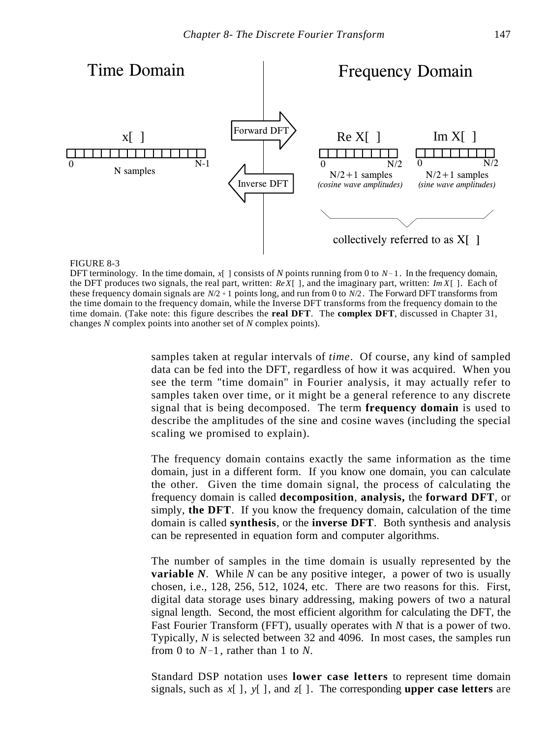

DFT terminology. In the time domain,  $x[$   $]$  consists of *N* points running from 0 to  $N-1$ . In the frequency domain, the DFT produces two signals, the real part, written: *ReX*[ ], and the imaginary part, written: *Im X*[ ]. Each of these frequency domain signals are  $N/2 + 1$  points long, and run from 0 to  $N/2$ . The Forward DFT transforms from the time domain to the frequency domain, while the Inverse DFT transforms from the frequency domain to the time domain. (Take note: this figure describes the **real DFT**. The **complex DFT**, discussed in Chapter 31, changes *N* complex points into another set of *N* complex points).

samples taken at regular intervals of *time*. Of course, any kind of sampled data can be fed into the DFT, regardless of how it was acquired. When you see the term "time domain" in Fourier analysis, it may actually refer to samples taken over time, or it might be a general reference to any discrete signal that is being decomposed. The term **frequency domain** is used to describe the amplitudes of the sine and cosine waves (including the special scaling we promised to explain).

The frequency domain contains exactly the same information as the time domain, just in a different form. If you know one domain, you can calculate the other. Given the time domain signal, the process of calculating the frequency domain is called **decomposition**, **analysis,** the **forward DFT***,* or simply, **the DFT**. If you know the frequency domain, calculation of the time domain is called **synthesis**, or the **inverse DFT**. Both synthesis and analysis can be represented in equation form and computer algorithms.

The number of samples in the time domain is usually represented by the **variable** *N*. While *N* can be any positive integer, a power of two is usually chosen, i.e., 128, 256, 512, 1024, etc. There are two reasons for this. First, digital data storage uses binary addressing, making powers of two a natural signal length. Second, the most efficient algorithm for calculating the DFT, the Fast Fourier Transform (FFT), usually operates with *N* that is a power of two. Typically, *N* is selected between 32 and 4096. In most cases, the samples run from 0 to  $N-1$ , rather than 1 to  $N$ .

Standard DSP notation uses **lower case letters** to represent time domain signals, such as *x*[ ], *y*[ ], and *z*[ ]. The corresponding **upper case letters** are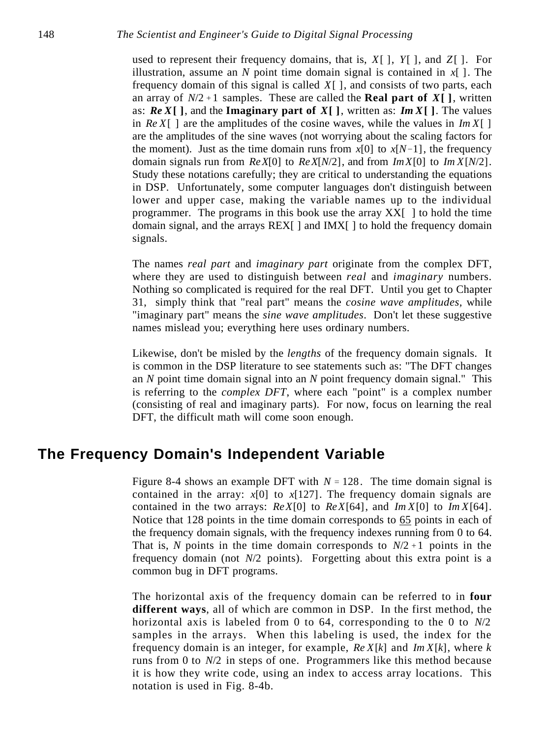used to represent their frequency domains, that is, *X*[ ], *Y*[ ], and *Z*[ ]. For illustration, assume an *N* point time domain signal is contained in *x*[ ]. The frequency domain of this signal is called  $X[\ ]$ , and consists of two parts, each an array of  $N/2 + 1$  samples. These are called the **Real part of**  $X[$  ], written as:  $Re X[$ ], and the **Imaginary part of**  $X[$ ], written as: **Im**  $X[$ ]. The values in  $Re X$ [ ] are the amplitudes of the cosine waves, while the values in  $Im X$ [ ] are the amplitudes of the sine waves (not worrying about the scaling factors for the moment). Just as the time domain runs from  $x[0]$  to  $x[N-1]$ , the frequency domain signals run from *ReX*[0] to *ReX*[*N*/2], and from *ImX*[0] to *Im X*[*N*/2]. Study these notations carefully; they are critical to understanding the equations in DSP. Unfortunately, some computer languages don't distinguish between lower and upper case, making the variable names up to the individual programmer. The programs in this book use the array  $XX$ [ ] to hold the time domain signal, and the arrays REX[ ] and IMX[ ] to hold the frequency domain signals.

The names *real part* and *imaginary part* originate from the complex DFT, where they are used to distinguish between *real* and *imaginary* numbers. Nothing so complicated is required for the real DFT. Until you get to Chapter 31, simply think that "real part" means the *cosine wave amplitudes,* while "imaginary part" means the *sine wave amplitudes*. Don't let these suggestive names mislead you; everything here uses ordinary numbers.

Likewise, don't be misled by the *lengths* of the frequency domain signals. It is common in the DSP literature to see statements such as: "The DFT changes an *N* point time domain signal into an *N* point frequency domain signal." This is referring to the *complex DFT*, where each "point" is a complex number (consisting of real and imaginary parts). For now, focus on learning the real DFT, the difficult math will come soon enough.

# **The Frequency Domain's Independent Variable**

Figure 8-4 shows an example DFT with  $N = 128$ . The time domain signal is contained in the array: *x*[0] to *x*[127]. The frequency domain signals are contained in the two arrays:  $Re X[0]$  to  $Re X[64]$ , and  $Im X[0]$  to  $Im X[64]$ . Notice that 128 points in the time domain corresponds to 65 points in each of the frequency domain signals, with the frequency indexes running from 0 to 64. That is, N points in the time domain corresponds to  $N/2+1$  points in the frequency domain (not *N*/2 points). Forgetting about this extra point is a common bug in DFT programs.

The horizontal axis of the frequency domain can be referred to in **four different ways**, all of which are common in DSP. In the first method, the horizontal axis is labeled from 0 to 64, corresponding to the 0 to *N*/2 samples in the arrays. When this labeling is used, the index for the frequency domain is an integer, for example, *Re X*[*k*] and *Im X*[*k*], where *k* runs from 0 to *N*/2 in steps of one. Programmers like this method because it is how they write code, using an index to access array locations. This notation is used in Fig. 8-4b.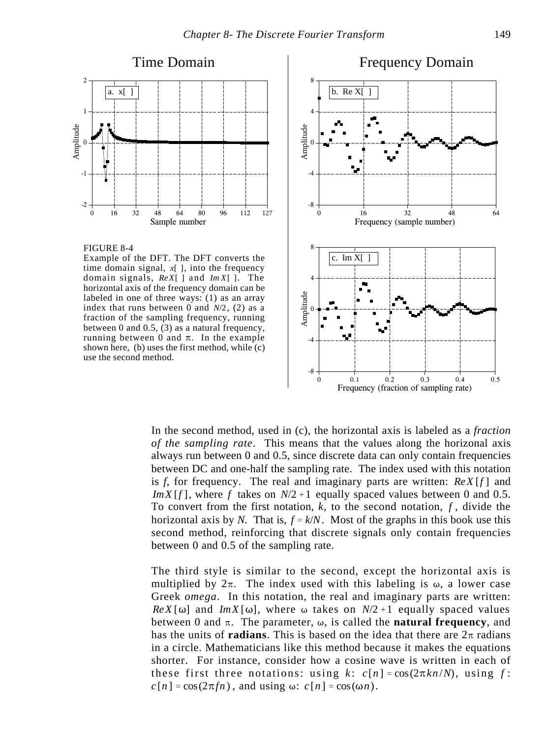

Example of the DFT. The DFT converts the time domain signal, *x*[ ], into the frequency domain signals, *ReX*[ ] and *Im X*[ ]. The horizontal axis of the frequency domain can be labeled in one of three ways: (1) as an array index that runs between 0 and *N*/2, (2) as a fraction of the sampling frequency, running between 0 and 0.5, (3) as a natural frequency, running between 0 and  $\pi$ . In the example shown here, (b) uses the first method, while (c) use the second method.



In the second method, used in (c), the horizontal axis is labeled as a *fraction of the sampling rate*. This means that the values along the horizonal axis always run between 0 and 0.5, since discrete data can only contain frequencies between DC and one-half the sampling rate. The index used with this notation is *f*, for frequency. The real and imaginary parts are written: *ReX* [*f* ] and *ImX* [*f*], where *f* takes on  $N/2 + 1$  equally spaced values between 0 and 0.5. To convert from the first notation,  $k$ , to the second notation,  $f$ , divide the horizontal axis by *N*. That is,  $f = k/N$ . Most of the graphs in this book use this second method, reinforcing that discrete signals only contain frequencies between 0 and 0.5 of the sampling rate.

The third style is similar to the second, except the horizontal axis is multiplied by  $2\pi$ . The index used with this labeling is  $\omega$ , a lower case Greek *omega*. In this notation, the real and imaginary parts are written:  $ReX[\omega]$  and  $ImX[\omega]$ , where  $\omega$  takes on  $N/2+1$  equally spaced values between 0 and  $\pi$ . The parameter,  $\omega$ , is called the **natural frequency**, and has the units of **radians**. This is based on the idea that there are  $2\pi$  radians in a circle. Mathematicians like this method because it makes the equations shorter. For instance, consider how a cosine wave is written in each of these first three notations: using  $k$ :  $c[n] = \cos(2\pi kn/N)$ , using  $f$ :  $c[n] = \cos(2\pi f n)$ , and using  $\omega$ :  $c[n] = \cos(\omega n)$ .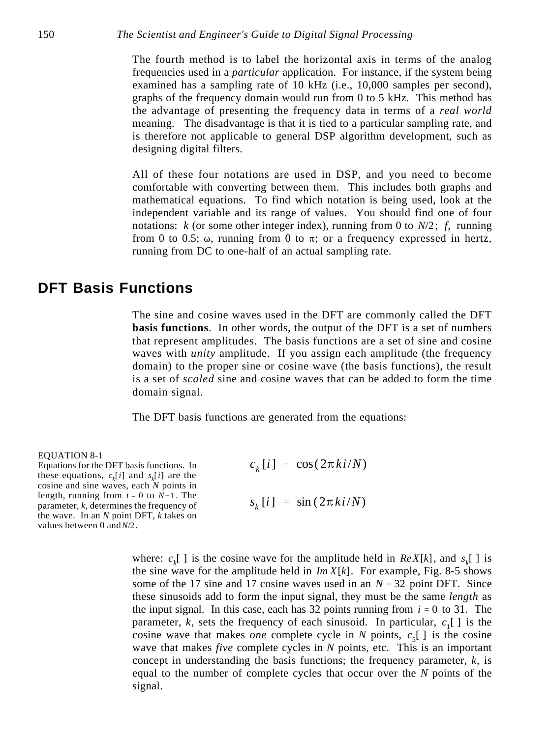The fourth method is to label the horizontal axis in terms of the analog frequencies used in a *particular* application. For instance, if the system being examined has a sampling rate of 10 kHz (i.e., 10,000 samples per second), graphs of the frequency domain would run from 0 to 5 kHz. This method has the advantage of presenting the frequency data in terms of a *real world* meaning. The disadvantage is that it is tied to a particular sampling rate, and is therefore not applicable to general DSP algorithm development, such as designing digital filters.

All of these four notations are used in DSP, and you need to become comfortable with converting between them. This includes both graphs and mathematical equations. To find which notation is being used, look at the independent variable and its range of values. You should find one of four notations: *k* (or some other integer index), running from 0 to *N*/2 ; *f*, running from 0 to 0.5;  $\omega$ , running from 0 to  $\pi$ ; or a frequency expressed in hertz, running from DC to one-half of an actual sampling rate.

# **DFT Basis Functions**

The sine and cosine waves used in the DFT are commonly called the DFT **basis functions**. In other words, the output of the DFT is a set of numbers that represent amplitudes. The basis functions are a set of sine and cosine waves with *unity* amplitude. If you assign each amplitude (the frequency domain) to the proper sine or cosine wave (the basis functions), the result is a set of *scaled* sine and cosine waves that can be added to form the time domain signal.

The DFT basis functions are generated from the equations:

#### EQUATION 8-1

Equations for the DFT basis functions. In these equations,  $c_k[i]$  and  $s_k[i]$  are the cosine and sine waves, each *N* points in length, running from  $i = 0$  to  $N-1$ . The parameter, *k*, determines the frequency of the wave. In an *N* point DFT, *k* takes on values between 0 and*N*/2.

 $c_k[i] = \cos(2\pi ki/N)$  $s_k[i] = \sin(2\pi ki/N)$ 

where:  $c_k$ [ ] is the cosine wave for the amplitude held in  $Re X[k]$ , and  $s_k$ [ ] is the sine wave for the amplitude held in  $Im X[k]$ . For example, Fig. 8-5 shows some of the 17 sine and 17 cosine waves used in an  $N = 32$  point DFT. Since these sinusoids add to form the input signal, they must be the same *length* as the input signal. In this case, each has  $32$  points running from  $i = 0$  to  $31$ . The parameter,  $k$ , sets the frequency of each sinusoid. In particular,  $c_1$ [] is the cosine wave that makes *one* complete cycle in  $N$  points,  $c_5$ [ ] is the cosine wave that makes *five* complete cycles in *N* points, etc. This is an important concept in understanding the basis functions; the frequency parameter, *k*, is equal to the number of complete cycles that occur over the *N* points of the signal.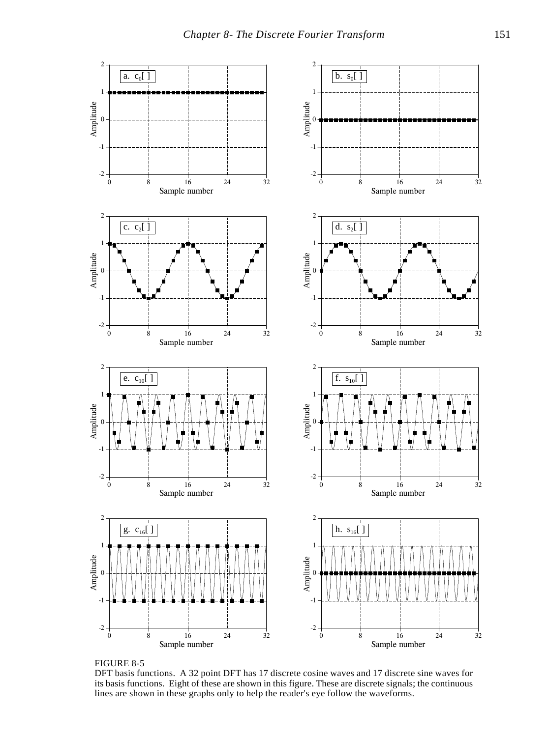

FIGURE 8-5

DFT basis functions. A 32 point DFT has 17 discrete cosine waves and 17 discrete sine waves for its basis functions. Eight of these are shown in this figure. These are discrete signals; the continuous lines are shown in these graphs only to help the reader's eye follow the waveforms.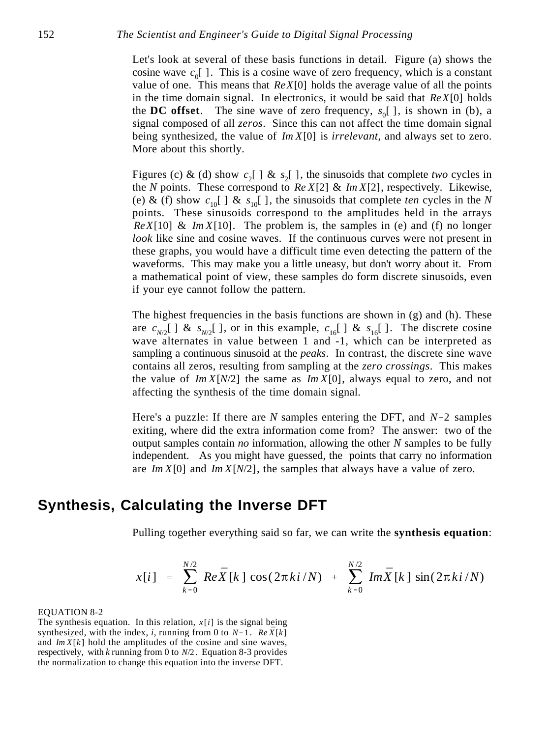Let's look at several of these basis functions in detail. Figure (a) shows the cosine wave  $c_0$ []. This is a cosine wave of zero frequency, which is a constant value of one. This means that *ReX*[0] holds the average value of all the points in the time domain signal. In electronics, it would be said that *ReX*[0] holds the **DC** offset. The sine wave of zero frequency,  $s_0[$ ], is shown in (b), a signal composed of all *zeros*. Since this can not affect the time domain signal being synthesized, the value of *Im X*[0] is *irrelevant*, and always set to zero. More about this shortly.

Figures (c) & (d) show  $c_2$ [ ] &  $s_2$ [ ], the sinusoids that complete *two* cycles in the *N* points. These correspond to *Re X*[2] & *Im X*[2], respectively. Likewise, (e) & (f) show  $c_{10}$ [] &  $s_{10}$ [], the sinusoids that complete *ten* cycles in the *N* points. These sinusoids correspond to the amplitudes held in the arrays *ReX*[10] & *Im X*[10]*.* The problem is, the samples in (e) and (f) no longer *look* like sine and cosine waves. If the continuous curves were not present in these graphs, you would have a difficult time even detecting the pattern of the waveforms. This may make you a little uneasy, but don't worry about it. From a mathematical point of view, these samples do form discrete sinusoids, even if your eye cannot follow the pattern.

The highest frequencies in the basis functions are shown in (g) and (h). These are  $c_{N/2}$ [ ] &  $s_{N/2}$ [ ], or in this example,  $c_{16}$ [ ] &  $s_{16}$ [ ]. The discrete cosine wave alternates in value between 1 and -1, which can be interpreted as sampling a continuous sinusoid at the *peaks*. In contrast, the discrete sine wave contains all zeros, resulting from sampling at the *zero crossings*. This makes the value of  $Im X[N/2]$  the same as  $Im X[0]$ , always equal to zero, and not affecting the synthesis of the time domain signal.

Here's a puzzle: If there are  $N$  samples entering the DFT, and  $N+2$  samples exiting, where did the extra information come from? The answer: two of the output samples contain *no* information, allowing the other *N* samples to be fully independent. As you might have guessed, the points that carry no information are  $Im X[0]$  and  $Im X[N/2]$ , the samples that always have a value of zero.

# **Synthesis, Calculating the Inverse DFT**

Pulling together everything said so far, we can write the **synthesis equation**:

$$
x[i] = \sum_{k=0}^{N/2} Re\bar{X}[k] cos(2\pi ki/N) + \sum_{k=0}^{N/2} Im\bar{X}[k] sin(2\pi ki/N)
$$

EQUATION 8-2

The synthesis equation. In this relation,  $x[i]$  is the signal being synthesized, with the index, *i*, running from 0 to  $N-1$ . *Re*  $\bar{X}[k]$ and  $Im \bar{X}[k]$  hold the amplitudes of the cosine and sine waves, respectively, with *k* running from 0 to *N*/2. Equation 8-3 provides the normalization to change this equation into the inverse DFT.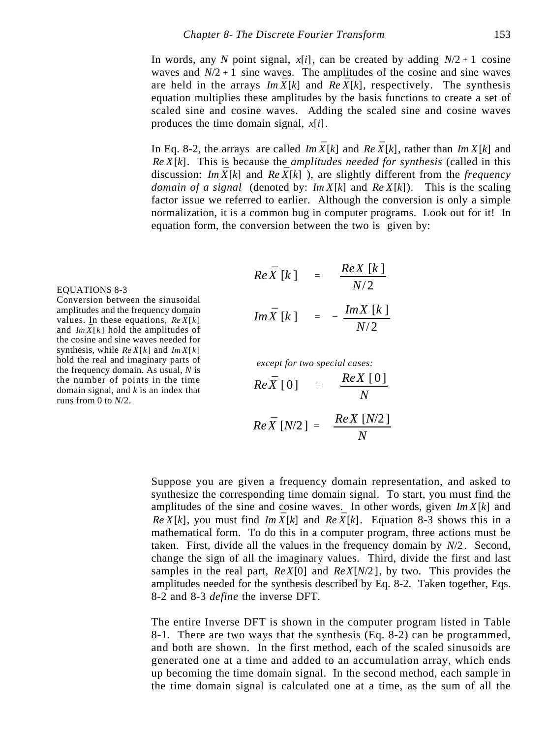In words, any *N* point signal,  $x[i]$ , can be created by adding  $N/2 + 1$  cosine waves and  $N/2 + 1$  sine waves. The amplitudes of the cosine and sine waves are held in the arrays  $Im \bar{X}[k]$  and  $Re \bar{X}[k]$ , respectively. The synthesis equation multiplies these amplitudes by the basis functions to create a set of scaled sine and cosine waves. Adding the scaled sine and cosine waves produces the time domain signal, *x*[*i*].

In Eq. 8-2, the arrays are called  $Im \bar{X}[k]$  and  $Re \bar{X}[k]$ , rather than  $Im X[k]$  and *Re X*[*k*]. This is because the *amplitudes needed for synthesis* (called in this discussion: *Im*  $\bar{X}[k]$  and  $\bar{R}e\bar{X}[k]$  ), are slightly different from the *frequency domain of a signal* (denoted by: *Im X*[*k*] and *Re X*[*k*]). This is the scaling factor issue we referred to earlier. Although the conversion is only a simple normalization, it is a common bug in computer programs. Look out for it! In equation form, the conversion between the two is given by:

*ReX* [*k* ]

EQUATIONS 8-3

Conversion between the sinusoidal amplitudes and the frequency domain values. In these equations,  $Re \bar{X}[k]$ and  $Im \bar{X}[k]$  hold the amplitudes of the cosine and sine waves needed for synthesis, while  $Re X[k]$  and  $Im X[k]$ hold the real and imaginary parts of the frequency domain. As usual, *N* is the number of points in the time domain signal, and *k* is an index that runs from 0 to *N*/2.

$$
Re\bar{X}[k] = \frac{ReX[k]}{N/2}
$$

$$
Im\bar{X}[k] = -\frac{ImX[k]}{N/2}
$$

*except for two special cases:*

$$
Re\bar{X} [0] = \frac{ReX [0]}{N}
$$

$$
Re\bar{X} [N/2] = \frac{ReX [N/2]}{N}
$$

Suppose you are given a frequency domain representation, and asked to synthesize the corresponding time domain signal. To start, you must find the amplitudes of the sine and cosine waves. In other words, given *Im X*[*k*] and  $Re X[k]$ , you must find  $Im \bar{X}[k]$  and  $Re \bar{X}[k]$ . Equation 8-3 shows this in a mathematical form. To do this in a computer program, three actions must be taken. First, divide all the values in the frequency domain by *N*/2 . Second, change the sign of all the imaginary values. Third, divide the first and last samples in the real part, *ReX*[0] and *ReX*[*N*/2 ], by two. This provides the amplitudes needed for the synthesis described by Eq. 8-2. Taken together, Eqs. 8-2 and 8-3 *define* the inverse DFT.

The entire Inverse DFT is shown in the computer program listed in Table 8-1. There are two ways that the synthesis (Eq. 8-2) can be programmed, and both are shown. In the first method, each of the scaled sinusoids are generated one at a time and added to an accumulation array, which ends up becoming the time domain signal. In the second method, each sample in the time domain signal is calculated one at a time, as the sum of all the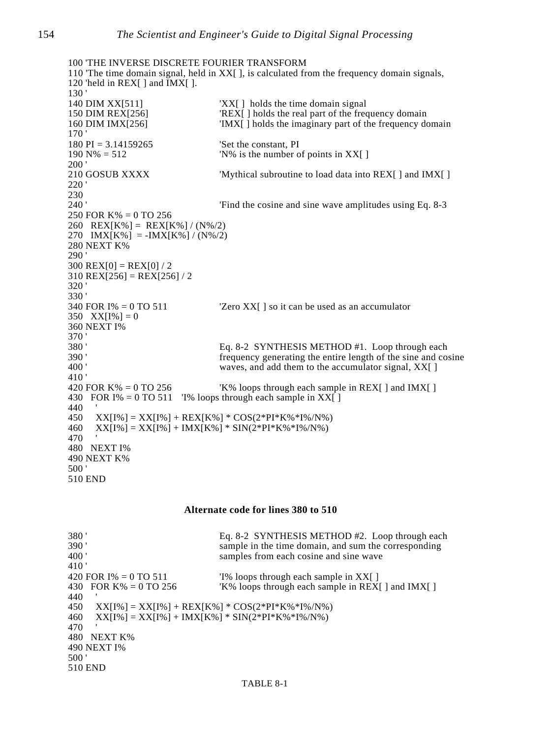100 'THE INVERSE DISCRETE FOURIER TRANSFORM 110 'The time domain signal, held in XX[ ], is calculated from the frequency domain signals, 120 'held in REX[ ] and IMX[ ]. 130 '<br>140 DIM XX[511] 140 DIM XX[511]  $\begin{array}{c} \begin{array}{c} \text{YX} \\ \text{YX} \end{array} \\ \begin{array}{c} \text{YX} \\ \text{YEX} \end{array} \end{array}$  holds the time domain signal 150 DIM REX[256] 150 DIM REX[256] 'REX[] holds the real part of the frequency domain 160 DIM IMX[256] 'IMX[] holds the imaginary part of the frequency domain 'IMX[] holds the imaginary part of the frequency domain 170 ' 180 PI = 3.14159265 'Set the constant, PI  $190 \text{ N\%} = 512$  'N% is the number of points in XX[ ] 200 '<br>210 GOSUB XXXX 'Mythical subroutine to load data into  $REX[ ]$  and  $IMX[ ]$ 220 '  $\frac{230}{240}$ 'Find the cosine and sine wave amplitudes using Eq. 8-3 250 FOR K% = 0 TO 256 260 REX[K%] = REX[K%] /  $(N\%/2)$ 270  $IMX[K\%] = -IMX[K\%]/(N\%/2)$ 280 NEXT K% 290 '  $300$  REX[0] = REX[0] / 2  $310$  REX[256] = REX[256] / 2 320 ' 330 '  $340$  FOR I% = 0 TO 511  $Zero$  XX[ ] so it can be used as an accumulator 350  $XX[1\%] = 0$ 360 NEXT I% 370 ' 380 ' Eq. 8-2 SYNTHESIS METHOD #1. Loop through each 390 ' Eq. 8-2 SYNTHESIS METHOD #1. Loop through each 390 ' 390 ' frequency generating the entire length of the sine and cosine 400 ' vaves, and add them to the accumulator signal. XXI l waves, and add them to the accumulator signal,  $XX$ [ ] 410 ' 420 FOR K% = 0 TO 256  $\,$  'K% loops through each sample in REX[ ] and IMX[ ] 430 FOR I% = 0 TO 511 'I% loops through each sample in  $XX$ [] 440 '  $450$   $XX[I\%] = XX[I\%] + REX[K\%] * COS(2*PI*K\% * I\%/N\%)$ <br>  $460$   $XX[I\%] = XX[I\%] + IMX[K\%] * SN(2*PI*K\% * I\%/N\%)$  $XX[I\%] = XX[I\%] + IMX[K\%] * SIN(2*PI*K\% *I\% /N\%)$ 470 ' 480 NEXT I% 490 NEXT K% 500 ' 510 END

#### **Alternate code for lines 380 to 510**

380 ' Eq. 8-2 SYNTHESIS METHOD #2. Loop through each sample in the time domain, and sum the corresponding 390 ' sample in the time domain, and sum the corresponding<br>400 ' samples from each cosine and sine wave samples from each cosine and sine wave 410 ' 420 FOR  $I% = 0$  TO 511  $I%$  loops through each sample in XX[] 430 FOR K% = 0 TO 256  $\mu$  'K% loops through each sample in REX[ ] and IMX[ ] 440 '  $450$   $XX[I\%] = XX[I\%] + REX[K\%] * COS(2*PI*K\% * I\% / N\%)$  $460$   $XX[I\%] = XX[I\%] + IMX[K\%] * SIN(2*PI*K\% * I\% / N\%)$ 470 ' 480 NEXT K% 490 NEXT I% 500 ' 510 END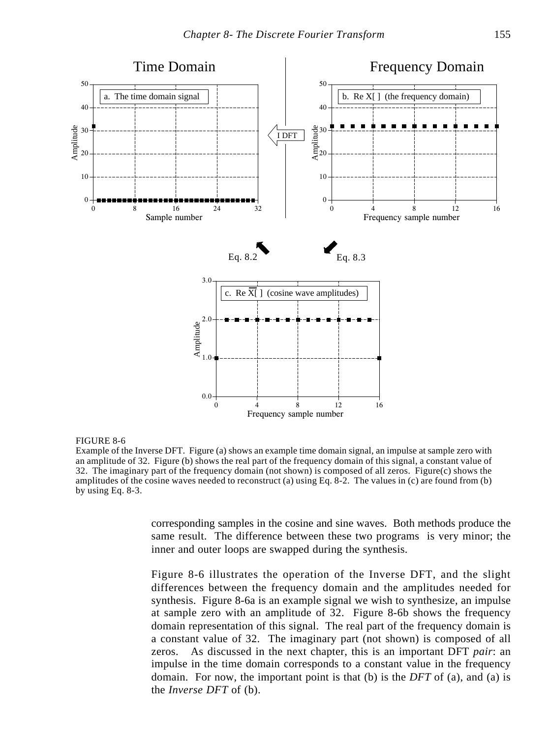

Example of the Inverse DFT. Figure (a) shows an example time domain signal, an impulse at sample zero with an amplitude of 32. Figure (b) shows the real part of the frequency domain of this signal, a constant value of 32. The imaginary part of the frequency domain (not shown) is composed of all zeros. Figure(c) shows the amplitudes of the cosine waves needed to reconstruct (a) using Eq. 8-2. The values in (c) are found from (b) by using Eq. 8-3.

corresponding samples in the cosine and sine waves. Both methods produce the same result. The difference between these two programs is very minor; the inner and outer loops are swapped during the synthesis.

Figure 8-6 illustrates the operation of the Inverse DFT, and the slight differences between the frequency domain and the amplitudes needed for synthesis. Figure 8-6a is an example signal we wish to synthesize, an impulse at sample zero with an amplitude of 32. Figure 8-6b shows the frequency domain representation of this signal. The real part of the frequency domain is a constant value of 32. The imaginary part (not shown) is composed of all zeros. As discussed in the next chapter, this is an important DFT *pair*: an impulse in the time domain corresponds to a constant value in the frequency domain. For now, the important point is that (b) is the *DFT* of (a), and (a) is the *Inverse DFT* of (b).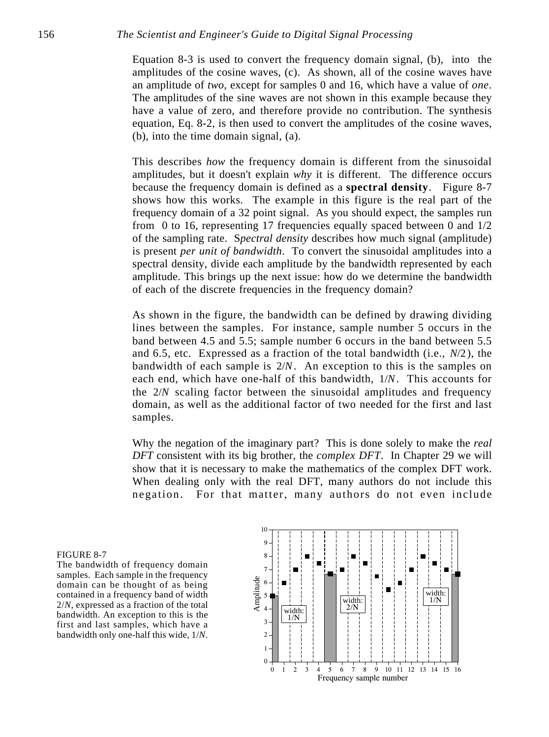Equation 8-3 is used to convert the frequency domain signal, (b), into the amplitudes of the cosine waves, (c). As shown, all of the cosine waves have an amplitude of *two*, except for samples 0 and 16, which have a value of *one*. The amplitudes of the sine waves are not shown in this example because they have a value of zero, and therefore provide no contribution. The synthesis equation, Eq. 8-2, is then used to convert the amplitudes of the cosine waves, (b), into the time domain signal, (a).

This describes *how* the frequency domain is different from the sinusoidal amplitudes, but it doesn't explain *why* it is different. The difference occurs because the frequency domain is defined as a **spectral density**. Figure 8-7 shows how this works. The example in this figure is the real part of the frequency domain of a 32 point signal. As you should expect, the samples run from 0 to 16, representing 17 frequencies equally spaced between 0 and 1/2 of the sampling rate. S*pectral density* describes how much signal (amplitude) is present *per unit of bandwidth*. To convert the sinusoidal amplitudes into a spectral density, divide each amplitude by the bandwidth represented by each amplitude. This brings up the next issue: how do we determine the bandwidth of each of the discrete frequencies in the frequency domain?

As shown in the figure, the bandwidth can be defined by drawing dividing lines between the samples. For instance, sample number 5 occurs in the band between 4.5 and 5.5; sample number 6 occurs in the band between 5.5 and 6.5, etc. Expressed as a fraction of the total bandwidth (i.e., *N*/2 ), the bandwidth of each sample is 2/*N*. An exception to this is the samples on each end, which have one-half of this bandwidth, 1/*N*. This accounts for the 2/*N* scaling factor between the sinusoidal amplitudes and frequency domain, as well as the additional factor of two needed for the first and last samples.

Why the negation of the imaginary part? This is done solely to make the *real DFT* consistent with its big brother, the *complex DFT*. In Chapter 29 we will show that it is necessary to make the mathematics of the complex DFT work. When dealing only with the real DFT, many authors do not include this negation. For that matter, many authors do not even include

#### FIGURE 8-7

The bandwidth of frequency domain samples. Each sample in the frequency domain can be thought of as being contained in a frequency band of width 2/*N*, expressed as a fraction of the total bandwidth. An exception to this is the first and last samples, which have a bandwidth only one-half this wide, 1/*N*.

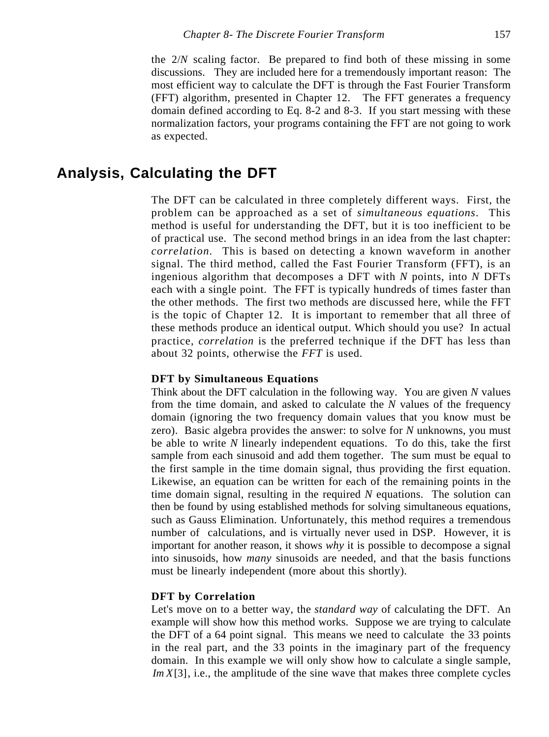the 2/*N* scaling factor. Be prepared to find both of these missing in some discussions. They are included here for a tremendously important reason: The most efficient way to calculate the DFT is through the Fast Fourier Transform (FFT) algorithm, presented in Chapter 12. The FFT generates a frequency domain defined according to Eq. 8-2 and 8-3. If you start messing with these normalization factors, your programs containing the FFT are not going to work as expected.

# **Analysis, Calculating the DFT**

The DFT can be calculated in three completely different ways. First, the problem can be approached as a set of *simultaneous equations*. This method is useful for understanding the DFT, but it is too inefficient to be of practical use. The second method brings in an idea from the last chapter: *correlation.* This is based on detecting a known waveform in another signal. The third method, called the Fast Fourier Transform (FFT), is an ingenious algorithm that decomposes a DFT with *N* points, into *N* DFTs each with a single point. The FFT is typically hundreds of times faster than the other methods. The first two methods are discussed here, while the FFT is the topic of Chapter 12. It is important to remember that all three of these methods produce an identical output. Which should you use? In actual practice, *correlation* is the preferred technique if the DFT has less than about 32 points, otherwise the *FFT* is used.

# **DFT by Simultaneous Equations**

Think about the DFT calculation in the following way. You are given *N* values from the time domain, and asked to calculate the *N* values of the frequency domain (ignoring the two frequency domain values that you know must be zero). Basic algebra provides the answer: to solve for *N* unknowns, you must be able to write *N* linearly independent equations. To do this, take the first sample from each sinusoid and add them together. The sum must be equal to the first sample in the time domain signal, thus providing the first equation. Likewise, an equation can be written for each of the remaining points in the time domain signal, resulting in the required *N* equations. The solution can then be found by using established methods for solving simultaneous equations, such as Gauss Elimination. Unfortunately, this method requires a tremendous number of calculations, and is virtually never used in DSP. However, it is important for another reason, it shows *why* it is possible to decompose a signal into sinusoids, how *many* sinusoids are needed, and that the basis functions must be linearly independent (more about this shortly).

### **DFT by Correlation**

Let's move on to a better way, the *standard way* of calculating the DFT. An example will show how this method works. Suppose we are trying to calculate the DFT of a 64 point signal. This means we need to calculate the 33 points in the real part, and the 33 points in the imaginary part of the frequency domain. In this example we will only show how to calculate a single sample, *Im X*[3], i.e., the amplitude of the sine wave that makes three complete cycles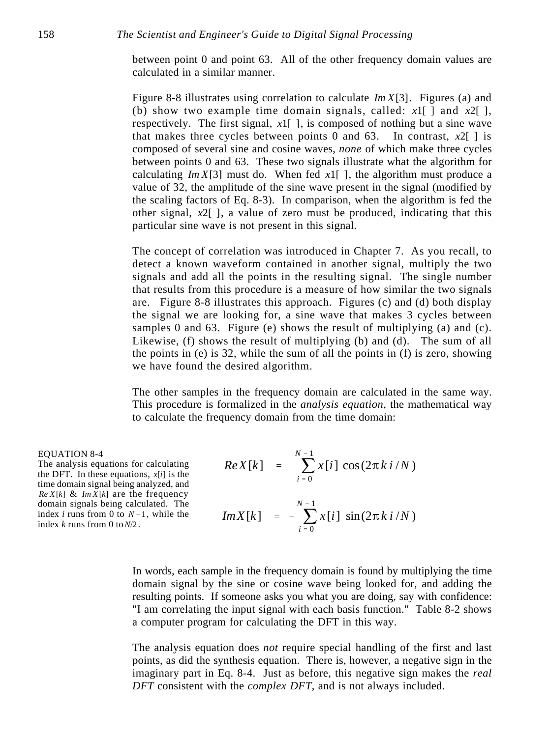between point 0 and point 63. All of the other frequency domain values are calculated in a similar manner.

Figure 8-8 illustrates using correlation to calculate *Im X*[3]. Figures (a) and (b) show two example time domain signals, called: *x*1[ ] and *x*2[ ], respectively. The first signal, *x*1[ ], is composed of nothing but a sine wave that makes three cycles between points 0 and 63. In contrast,  $x2$ [ ] is composed of several sine and cosine waves, *none* of which make three cycles between points 0 and 63. These two signals illustrate what the algorithm for calculating  $Im X[3]$  must do. When fed  $x1$ [], the algorithm must produce a value of 32, the amplitude of the sine wave present in the signal (modified by the scaling factors of Eq. 8-3). In comparison, when the algorithm is fed the other signal, *x*2[ ], a value of zero must be produced, indicating that this particular sine wave is not present in this signal.

The concept of correlation was introduced in Chapter 7. As you recall, to detect a known waveform contained in another signal, multiply the two signals and add all the points in the resulting signal. The single number that results from this procedure is a measure of how similar the two signals are. Figure 8-8 illustrates this approach. Figures (c) and (d) both display the signal we are looking for, a sine wave that makes 3 cycles between samples 0 and 63. Figure (e) shows the result of multiplying (a) and (c). Likewise, (f) shows the result of multiplying (b) and (d). The sum of all the points in (e) is 32, while the sum of all the points in (f) is zero, showing we have found the desired algorithm.

The other samples in the frequency domain are calculated in the same way. This procedure is formalized in the *analysis equation*, the mathematical way to calculate the frequency domain from the time domain:

#### EQUATION 8-4

The analysis equations for calculating the DFT. In these equations, *x*[*i*] is the time domain signal being analyzed, and  $Re X[k]$  &  $Im X[k]$  are the frequency domain signals being calculated. The index *i* runs from 0 to  $N-1$ , while the index *k* runs from 0 to*N*/2.

$$
Re X[k] = \sum_{i=0}^{N-1} x[i] \cos(2\pi k i/N)
$$

$$
Im X[k] = -\sum_{i=0}^{N-1} x[i] \sin(2\pi k i/N)
$$

In words, each sample in the frequency domain is found by multiplying the time domain signal by the sine or cosine wave being looked for, and adding the resulting points. If someone asks you what you are doing, say with confidence: "I am correlating the input signal with each basis function." Table 8-2 shows a computer program for calculating the DFT in this way.

The analysis equation does *not* require special handling of the first and last points, as did the synthesis equation. There is, however, a negative sign in the imaginary part in Eq. 8-4. Just as before, this negative sign makes the *real DFT* consistent with the *complex DFT*, and is not always included.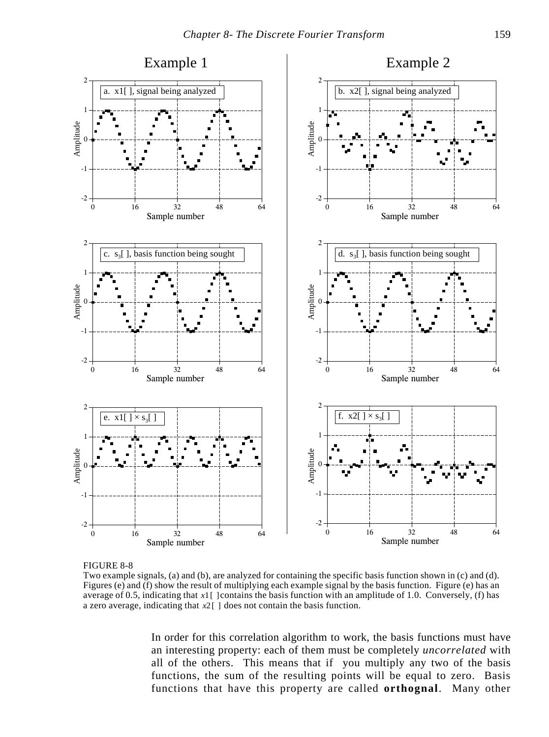

FIGURE 8-8

Two example signals, (a) and (b), are analyzed for containing the specific basis function shown in (c) and (d). Figures (e) and (f) show the result of multiplying each example signal by the basis function. Figure (e) has an average of 0.5, indicating that *x*1[ ]contains the basis function with an amplitude of 1.0. Conversely, (f) has a zero average, indicating that *x*2[ ] does not contain the basis function.

In order for this correlation algorithm to work, the basis functions must have an interesting property: each of them must be completely *uncorrelated* with all of the others. This means that if you multiply any two of the basis functions, the sum of the resulting points will be equal to zero. Basis functions that have this property are called **orthognal**. Many other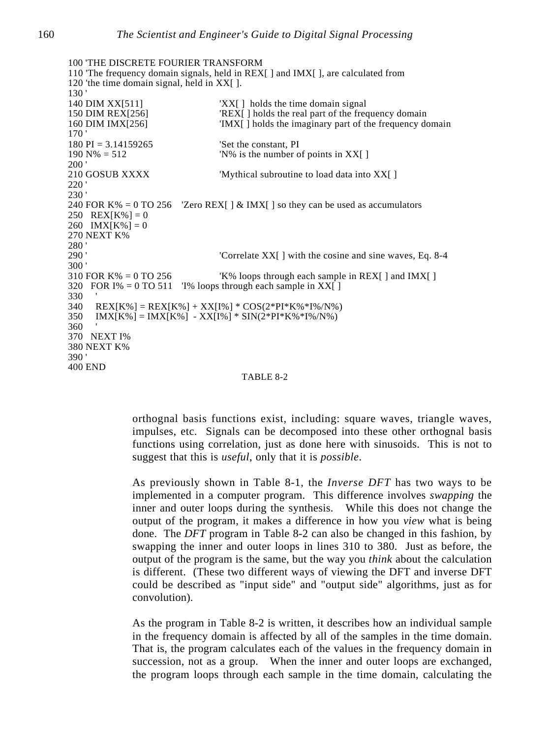```
100 'THE DISCRETE FOURIER TRANSFORM 
110 'The frequency domain signals, held in REX[ ] and IMX[ ], are calculated from
120 'the time domain signal, held in XX[ ].
130 '<br>140 DIM XX[511]
140 DIM XX[511] 'XX[ ] holds the time domain signal<br>150 DIM REX[256] 'REX[ ] holds the real part of the free
150 DIM REX[256] 'REX[] holds the real part of the frequency domain 160 DIM IMX[256] 'IMX[] holds the imaginary part of the frequency domain
                                     'IMX[] holds the imaginary part of the frequency domain
170 '
180 PI = 3.14159265 'Set the constant, PI
190 \text{ N\%} = 512 'N% is the number of points in XX[ ]
200 '<br>210 GOSUB XXXX
                                     'Mythical subroutine to load data into XX[ ]
220 '
230 '
240 FOR K% = 0 TO 256 'Zero REX[ \parallel \& \parallel M X \parallel so they can be used as accumulators
250 REX[K\%] = 0260 IMX[K%] = 0
270 NEXT K%
280 '
                                     'Correlate XX[ ] with the cosine and sine waves, Eq. 8-4
300 '
310 FOR K% = 0 TO 256 'K% loops through each sample in REX[ ] and IMX[ ]
320 FOR I% = 0 TO 511 T% loops through each sample in XX[]
330 '
340 REX[K%] = REX[K%] + XX[I%] * COS(2*PI*K%*I%/N%)
350 IMX[K%] = IMX[K%] - XX[I%] * SIN(2*PI*K%*I%/N%)
360 '
370 NEXT I%
380 NEXT K%
390 '
400 END
```
#### TABLE 8-2

orthognal basis functions exist, including: square waves, triangle waves, impulses, etc. Signals can be decomposed into these other orthognal basis functions using correlation, just as done here with sinusoids. This is not to suggest that this is *useful*, only that it is *possible*.

As previously shown in Table 8-1, the *Inverse DFT* has two ways to be implemented in a computer program. This difference involves *swapping* the inner and outer loops during the synthesis. While this does not change the output of the program, it makes a difference in how you *view* what is being done. The *DFT* program in Table 8-2 can also be changed in this fashion, by swapping the inner and outer loops in lines 310 to 380. Just as before, the output of the program is the same, but the way you *think* about the calculation is different. (These two different ways of viewing the DFT and inverse DFT could be described as "input side" and "output side" algorithms, just as for convolution).

As the program in Table 8-2 is written, it describes how an individual sample in the frequency domain is affected by all of the samples in the time domain. That is, the program calculates each of the values in the frequency domain in succession, not as a group. When the inner and outer loops are exchanged, the program loops through each sample in the time domain, calculating the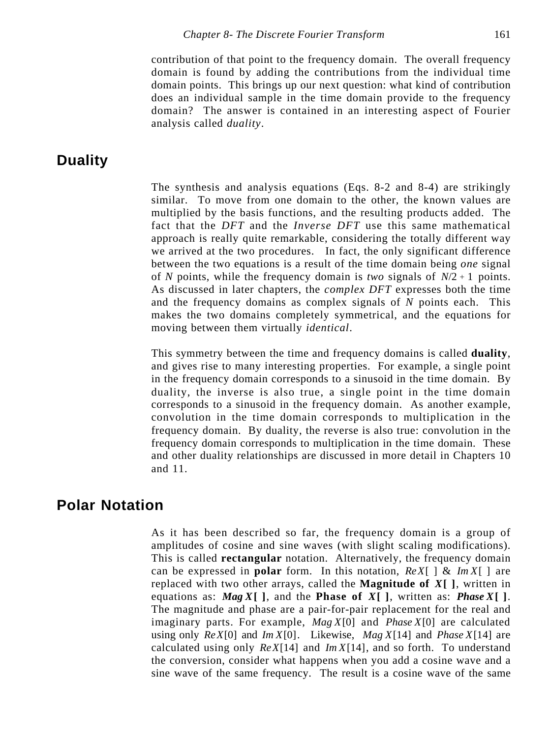contribution of that point to the frequency domain. The overall frequency domain is found by adding the contributions from the individual time domain points. This brings up our next question: what kind of contribution does an individual sample in the time domain provide to the frequency domain? The answer is contained in an interesting aspect of Fourier analysis called *duality*.

# **Duality**

The synthesis and analysis equations (Eqs. 8-2 and 8-4) are strikingly similar. To move from one domain to the other, the known values are multiplied by the basis functions, and the resulting products added. The fact that the *DFT* and the *Inverse DFT* use this same mathematical approach is really quite remarkable, considering the totally different way we arrived at the two procedures. In fact, the only significant difference between the two equations is a result of the time domain being *one* signal of *N* points, while the frequency domain is *two* signals of  $N/2 + 1$  points. As discussed in later chapters, the *complex DFT* expresses both the time and the frequency domains as complex signals of *N* points each. This makes the two domains completely symmetrical, and the equations for moving between them virtually *identical*.

This symmetry between the time and frequency domains is called **duality**, and gives rise to many interesting properties. For example, a single point in the frequency domain corresponds to a sinusoid in the time domain. By duality, the inverse is also true, a single point in the time domain corresponds to a sinusoid in the frequency domain. As another example, convolution in the time domain corresponds to multiplication in the frequency domain. By duality, the reverse is also true: convolution in the frequency domain corresponds to multiplication in the time domain. These and other duality relationships are discussed in more detail in Chapters 10 and 11.

# **Polar Notation**

As it has been described so far, the frequency domain is a group of amplitudes of cosine and sine waves (with slight scaling modifications). This is called **rectangular** notation. Alternatively, the frequency domain can be expressed in **polar** form. In this notation, *ReX*[ ] & *Im X*[ ] are replaced with two other arrays, called the **Magnitude of** *X***[ ]**, written in equations as: *Mag*  $X$ [ ], and the **Phase of**  $X$ [ ], written as: *Phase*  $X$ [ ]. The magnitude and phase are a pair-for-pair replacement for the real and imaginary parts. For example, *Mag X*[0] and *Phase X*[0] are calculated using only  $Re X[0]$  and  $Im X[0]$ . Likewise,  $Mag X[14]$  and  $Phase X[14]$  are calculated using only *ReX*[14] and *Im X*[14], and so forth. To understand the conversion, consider what happens when you add a cosine wave and a sine wave of the same frequency. The result is a cosine wave of the same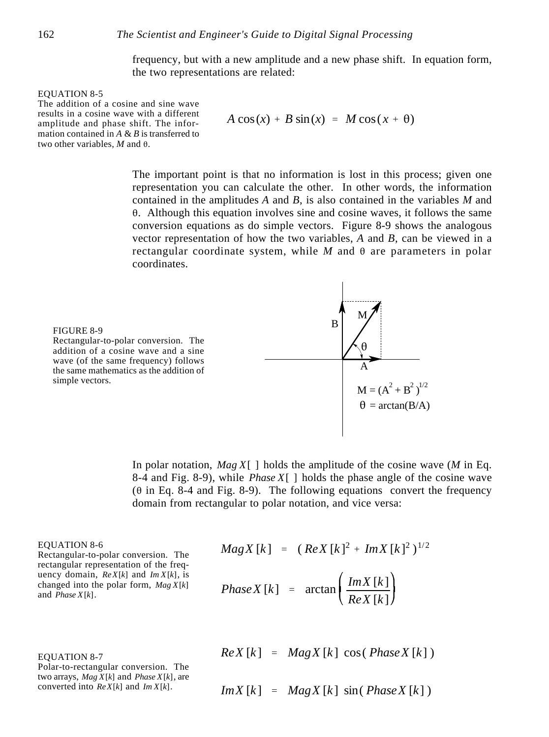frequency, but with a new amplitude and a new phase shift. In equation form, the two representations are related:

EQUATION 8-5 The addition of a cosine and sine wave results in a cosine wave with a different amplitude and phase shift. The information contained in *A* & *B* is transferred to two other variables,  $M$  and  $\theta$ .

 $A \cos(x) + B \sin(x) = M \cos(x + \theta)$ 

The important point is that no information is lost in this process; given one representation you can calculate the other. In other words, the information contained in the amplitudes *A* and *B*, is also contained in the variables *M* and  $\theta$ . Although this equation involves sine and cosine waves, it follows the same conversion equations as do simple vectors. Figure 8-9 shows the analogous vector representation of how the two variables, *A* and *B*, can be viewed in a rectangular coordinate system, while  $M$  and  $\theta$  are parameters in polar coordinates.

FIGURE 8-9 Rectangular-to-polar conversion. The addition of a cosine wave and a sine wave (of the same frequency) follows the same mathematics as the addition of simple vectors.



In polar notation, *Mag*  $X$ [ ] holds the amplitude of the cosine wave (*M* in Eq. 8-4 and Fig. 8-9), while *Phase X*[ ] holds the phase angle of the cosine wave ( $\theta$  in Eq. 8-4 and Fig. 8-9). The following equations convert the frequency domain from rectangular to polar notation, and vice versa:

#### EQUATION 8-6

Rectangular-to-polar conversion. The rectangular representation of the frequency domain,  $Re X[k]$  and  $Im X[k]$ , is changed into the polar form, *Mag X*[*k*] and *Phase X*[*k*].

$$
MagX[k] = (ReX[k]^2 + ImX[k]^2)^{1/2}
$$
  

$$
PhaseX[k] = \arctan\left(\frac{ImX[k]}{ReX[k]}\right)
$$

EQUATION 8-7 Polar-to-rectangular conversion. The

two arrays, *Mag X*[*k*] and *Phase X*[*k*], are converted into *ReX*[*k*] and *Im X*[*k*].

$$
Re X[k] = Mag X[k] \cos(Phase X[k])
$$

 $Im X[k] = Mag X[k] sin(Phase X[k])$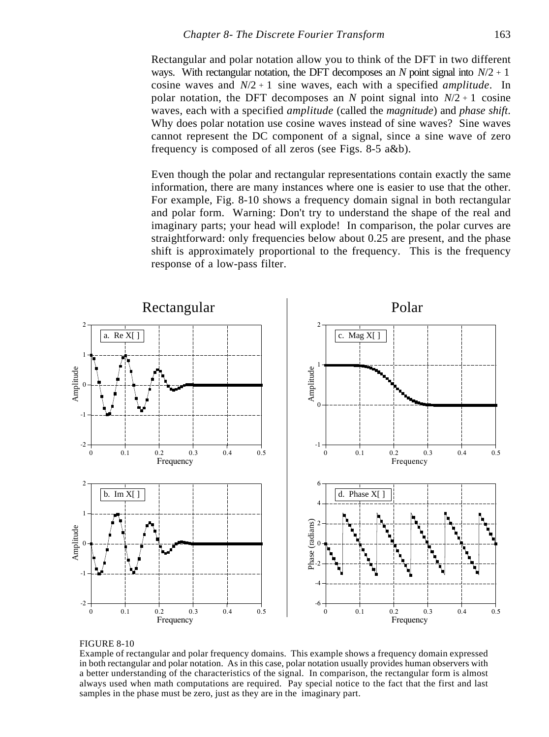Rectangular and polar notation allow you to think of the DFT in two different ways. With rectangular notation, the DFT decomposes an  $N$  point signal into  $N/2 + 1$ cosine waves and  $N/2 + 1$  sine waves, each with a specified *amplitude*. In polar notation, the DFT decomposes an *N* point signal into  $N/2 + 1$  cosine waves, each with a specified *amplitude* (called the *magnitude*) and *phase shift*. Why does polar notation use cosine waves instead of sine waves? Sine waves cannot represent the DC component of a signal, since a sine wave of zero frequency is composed of all zeros (see Figs. 8-5 a&b).

Even though the polar and rectangular representations contain exactly the same information, there are many instances where one is easier to use that the other. For example, Fig. 8-10 shows a frequency domain signal in both rectangular and polar form. Warning: Don't try to understand the shape of the real and imaginary parts; your head will explode! In comparison, the polar curves are straightforward: only frequencies below about 0.25 are present, and the phase shift is approximately proportional to the frequency. This is the frequency response of a low-pass filter.



#### FIGURE 8-10

Example of rectangular and polar frequency domains. This example shows a frequency domain expressed in both rectangular and polar notation. As in this case, polar notation usually provides human observers with a better understanding of the characteristics of the signal. In comparison, the rectangular form is almost always used when math computations are required. Pay special notice to the fact that the first and last samples in the phase must be zero, just as they are in the imaginary part.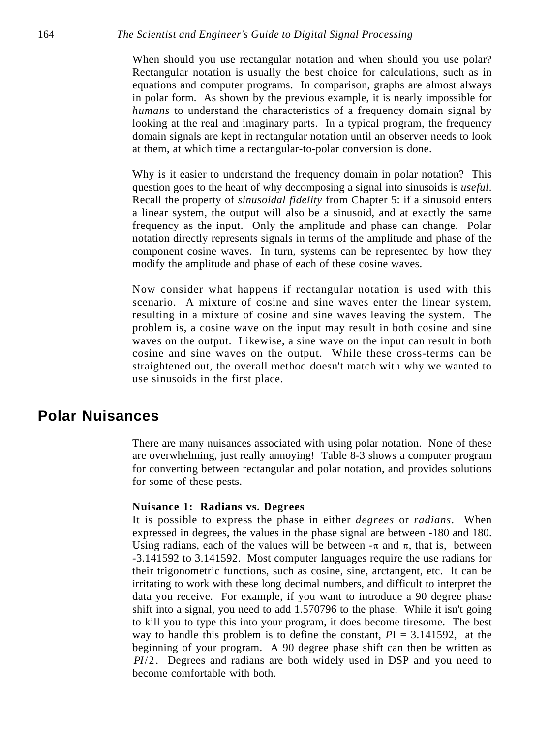### 164 *The Scientist and Engineer's Guide to Digital Signal Processing*

When should you use rectangular notation and when should you use polar? Rectangular notation is usually the best choice for calculations, such as in equations and computer programs. In comparison, graphs are almost always in polar form. As shown by the previous example, it is nearly impossible for *humans* to understand the characteristics of a frequency domain signal by looking at the real and imaginary parts. In a typical program, the frequency domain signals are kept in rectangular notation until an observer needs to look at them, at which time a rectangular-to-polar conversion is done.

Why is it easier to understand the frequency domain in polar notation? This question goes to the heart of why decomposing a signal into sinusoids is *useful*. Recall the property of *sinusoidal fidelity* from Chapter 5: if a sinusoid enters a linear system, the output will also be a sinusoid, and at exactly the same frequency as the input. Only the amplitude and phase can change. Polar notation directly represents signals in terms of the amplitude and phase of the component cosine waves. In turn, systems can be represented by how they modify the amplitude and phase of each of these cosine waves.

Now consider what happens if rectangular notation is used with this scenario. A mixture of cosine and sine waves enter the linear system, resulting in a mixture of cosine and sine waves leaving the system. The problem is, a cosine wave on the input may result in both cosine and sine waves on the output. Likewise, a sine wave on the input can result in both cosine and sine waves on the output. While these cross-terms can be straightened out, the overall method doesn't match with why we wanted to use sinusoids in the first place.

# **Polar Nuisances**

There are many nuisances associated with using polar notation. None of these are overwhelming, just really annoying! Table 8-3 shows a computer program for converting between rectangular and polar notation, and provides solutions for some of these pests.

### **Nuisance 1: Radians vs. Degrees**

It is possible to express the phase in either *degrees* or *radians*. When expressed in degrees, the values in the phase signal are between -180 and 180. Using radians, each of the values will be between  $-\pi$  and  $\pi$ , that is, between -3.141592 to 3.141592. Most computer languages require the use radians for their trigonometric functions, such as cosine, sine, arctangent, etc. It can be irritating to work with these long decimal numbers, and difficult to interpret the data you receive. For example, if you want to introduce a 90 degree phase shift into a signal, you need to add 1.570796 to the phase. While it isn't going to kill you to type this into your program, it does become tiresome. The best way to handle this problem is to define the constant,  $PI = 3.141592$ , at the beginning of your program. A 90 degree phase shift can then be written as *PI*/2 . Degrees and radians are both widely used in DSP and you need to become comfortable with both.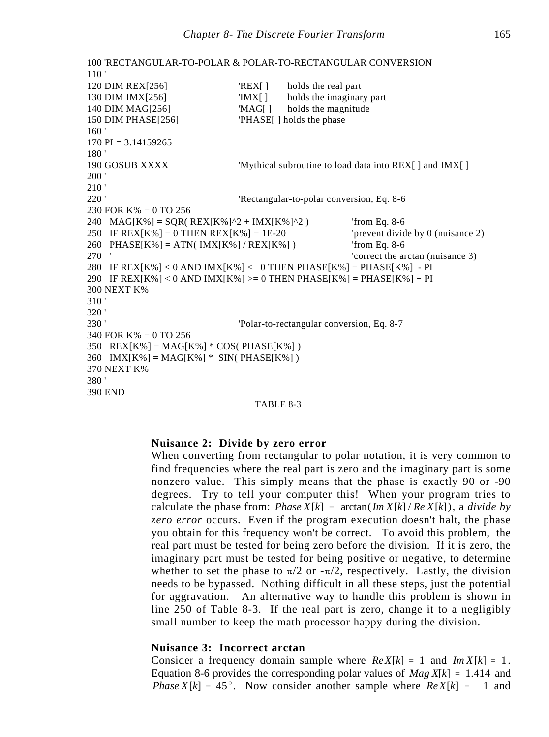```
100 'RECTANGULAR-TO-POLAR & POLAR-TO-RECTANGULAR CONVERSION
110 '
120 DIM REX[256] THEX[ ] holds the real part
130 DIM IMX[256] 'IMX[] holds the imaginary part
140 DIM MAG[256] MAG[] holds the magnitude
150 DIM PHASE[256] 'PHASE[ ] holds the phase
160 '
170 PI = 3.14159265
180 '
190 GOSUB XXXX 'Mythical subroutine to load data into REX[ ] and IMX[ ]
200 '
210 '
220 ' 'Rectangular-to-polar conversion, Eq. 8-6
230 FOR K% = 0 TO 256
240 MAG[K%] = SQR( REX[K%]^2 + IMX[K%]^2 ) 'from Eq. 8-6
250 IF REX[K%] = 0 THEN REX[K%] = 1E-20 \blacksquare 'prevent divide by 0 (nuisance 2)
260 PHASE[K%] = ATN( IMX[K\%] / REX[K\%]) \qquad \qquad 'from Eq. 8-6
270 ' correct the arctan (nuisance 3)
280 IF REX[K%] < 0 AND IMX[K\%] < 0 THEN PHASE[K%] = PHASE[K%] - PI
290 IF REX[K%] < 0 AND IMX[K\%] > = 0 THEN PHASE[K%] = PHASE[K%] + PI
300 NEXT K%
310 '
320 '
330 ' 'Polar-to-rectangular conversion, Eq. 8-7
340 FOR K% = 0 TO 256
350 REX[K\%] = MAG[K\%] * COS( PHASE[K\%])360 IMX[K%] = MAG[K%] * SIN( PHASE[K%])
370 NEXT K%
380 ' 
390 END
```
#### TABLE 8-3

### **Nuisance 2: Divide by zero error**

When converting from rectangular to polar notation, it is very common to find frequencies where the real part is zero and the imaginary part is some nonzero value. This simply means that the phase is exactly 90 or -90 degrees. Try to tell your computer this! When your program tries to calculate the phase from: *Phase*  $X[k] = \arctan(\text{Im } X[k]/\text{Re } X[k])$ , a *divide by zero error* occurs. Even if the program execution doesn't halt, the phase you obtain for this frequency won't be correct. To avoid this problem, the real part must be tested for being zero before the division. If it is zero, the imaginary part must be tested for being positive or negative, to determine whether to set the phase to  $\pi/2$  or  $-\pi/2$ , respectively. Lastly, the division needs to be bypassed. Nothing difficult in all these steps, just the potential for aggravation. An alternative way to handle this problem is shown in line 250 of Table 8-3. If the real part is zero, change it to a negligibly small number to keep the math processor happy during the division.

# **Nuisance 3: Incorrect arctan**

Consider a frequency domain sample where  $Re X[k] = 1$  and  $Im X[k] = 1$ . Equation 8-6 provides the corresponding polar values of *Mag X*[ $k$ ] = 1.414 and *Phase*  $X[k] = 45^{\circ}$ . Now consider another sample where  $Re X[k] = -1$  and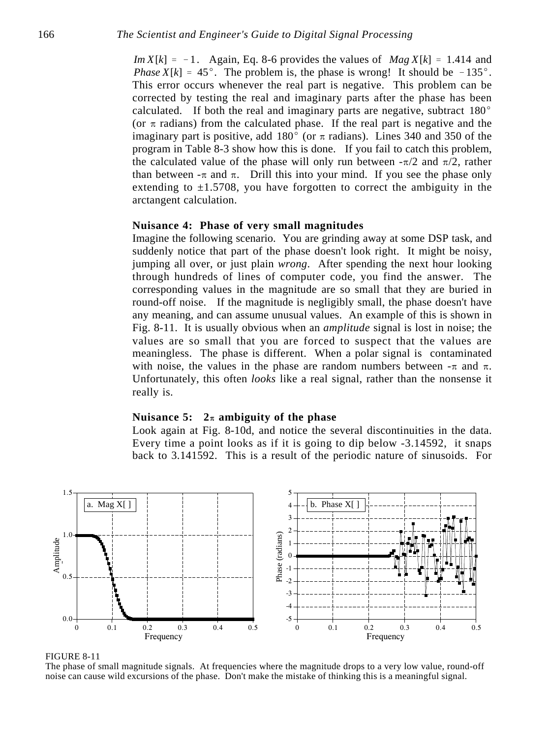*Im*  $X[k] = -1$ . Again, Eq. 8-6 provides the values of *Mag*  $X[k] = 1.414$  and *Phase*  $X[k] = 45^\circ$ . The problem is, the phase is wrong! It should be  $-135^\circ$ . This error occurs whenever the real part is negative. This problem can be corrected by testing the real and imaginary parts after the phase has been calculated. If both the real and imaginary parts are negative, subtract  $180^{\circ}$ (or  $\pi$  radians) from the calculated phase. If the real part is negative and the imaginary part is positive, add  $180^{\circ}$  (or  $\pi$  radians). Lines 340 and 350 of the program in Table 8-3 show how this is done. If you fail to catch this problem, the calculated value of the phase will only run between  $-\pi/2$  and  $\pi/2$ , rather than between  $-\pi$  and  $\pi$ . Drill this into your mind. If you see the phase only extending to  $\pm 1.5708$ , you have forgotten to correct the ambiguity in the arctangent calculation.

# **Nuisance 4: Phase of very small magnitudes**

Imagine the following scenario. You are grinding away at some DSP task, and suddenly notice that part of the phase doesn't look right. It might be noisy, jumping all over, or just plain *wrong*. After spending the next hour looking through hundreds of lines of computer code, you find the answer. The corresponding values in the magnitude are so small that they are buried in round-off noise. If the magnitude is negligibly small, the phase doesn't have any meaning, and can assume unusual values. An example of this is shown in Fig. 8-11. It is usually obvious when an *amplitude* signal is lost in noise; the values are so small that you are forced to suspect that the values are meaningless. The phase is different. When a polar signal is contaminated with noise, the values in the phase are random numbers between  $-\pi$  and  $\pi$ . Unfortunately, this often *looks* like a real signal, rather than the nonsense it really is.

### **Nuisance 5:**  $2\pi$  ambiguity of the phase

Look again at Fig. 8-10d, and notice the several discontinuities in the data. Every time a point looks as if it is going to dip below -3.14592, it snaps back to 3.141592. This is a result of the periodic nature of sinusoids. For





The phase of small magnitude signals. At frequencies where the magnitude drops to a very low value, round-off noise can cause wild excursions of the phase. Don't make the mistake of thinking this is a meaningful signal.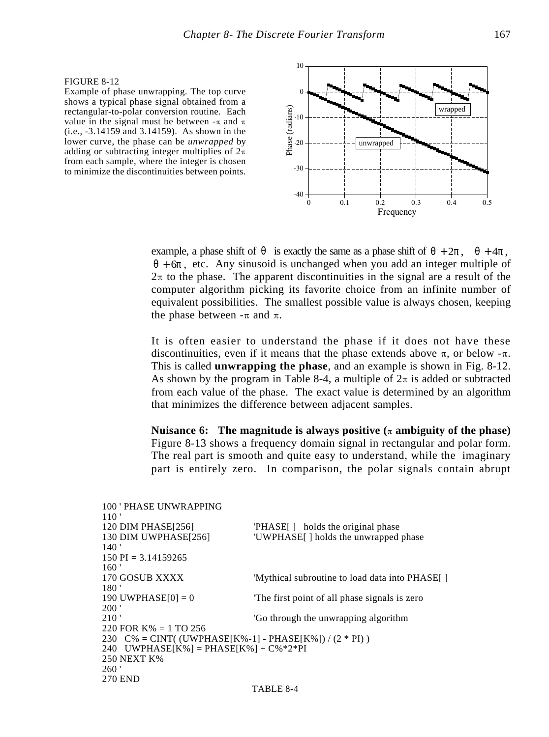Example of phase unwrapping. The top curve shows a typical phase signal obtained from a rectangular-to-polar conversion routine. Each value in the signal must be between  $-\pi$  and  $\pi$ (i.e., -3.14159 and 3.14159). As shown in the lower curve, the phase can be *unwrapped* by adding or subtracting integer multiplies of  $2\pi$ from each sample, where the integer is chosen to minimize the discontinuities between points.



example, a phase shift of  $q$  is exactly the same as a phase shift of  $q + 2p$ ,  $q + 4p$ , *q* + 6*p* , etc. Any sinusoid is unchanged when you add an integer multiple of  $2\pi$  to the phase. The apparent discontinuities in the signal are a result of the computer algorithm picking its favorite choice from an infinite number of equivalent possibilities. The smallest possible value is always chosen, keeping the phase between  $-\pi$  and  $\pi$ .

It is often easier to understand the phase if it does not have these discontinuities, even if it means that the phase extends above  $\pi$ , or below - $\pi$ . This is called **unwrapping the phase**, and an example is shown in Fig. 8-12. As shown by the program in Table 8-4, a multiple of  $2\pi$  is added or subtracted from each value of the phase. The exact value is determined by an algorithm that minimizes the difference between adjacent samples.

Nuisance 6: The magnitude is always positive  $(\pi$  ambiguity of the phase) Figure 8-13 shows a frequency domain signal in rectangular and polar form. The real part is smooth and quite easy to understand, while the imaginary part is entirely zero. In comparison, the polar signals contain abrupt

```
100 ' PHASE UNWRAPPING 
110 '<br>120 DIM PHASE[256]
120 DIM PHASE[256] 'PHASE[ ] holds the original phase<br>130 DIM UWPHASE[256] 'UWPHASE[ ] holds the unwrapped
                                    'UWPHASE[] holds the unwrapped phase
140 '
150 PI = 3.14159265
160 '
170 GOSUB XXXX <sup>'Mythical subroutine to load data into PHASE[]</sup>
180 '
190 UWPHASE[0] = 0 \blacksquare The first point of all phase signals is zero
200'<br>210'' Go through the unwrapping algorithm
220 FOR K\% = 1 TO 256
230 C% = CINT( (UWPHASE[K%-1] - PHASE[K%]) / (2 * PI))
240 UWPHASE[K%] = PHASE[K%] + C\%*2*PI
250 NEXT K%
260 '
270 END
```
TABLE 8-4